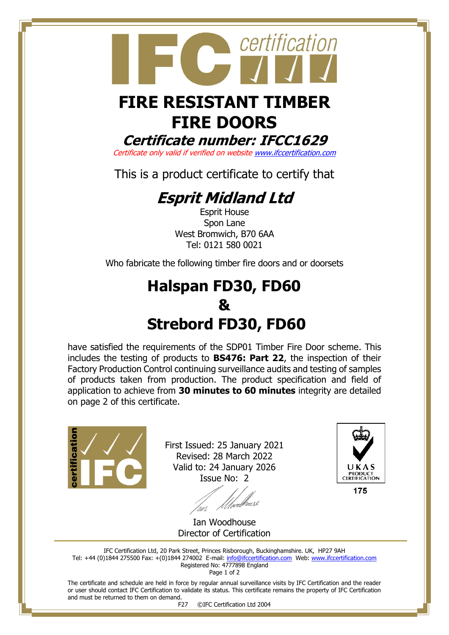

## **FIRE DOORS**

**Certificate number: IFCC1629**

Certificate only valid if verified on websit[e www.ifccertification.com](http://www.ifccertification.com/)

This is a product certificate to certify that

## **Esprit Midland Ltd**

Esprit House Spon Lane West Bromwich, B70 6AA Tel: 0121 580 0021

Who fabricate the following timber fire doors and or doorsets

## **Halspan FD30, FD60 & Strebord FD30, FD60**

have satisfied the requirements of the SDP01 Timber Fire Door scheme. This includes the testing of products to **BS476: Part 22**, the inspection of their Factory Production Control continuing surveillance audits and testing of samples of products taken from production. The product specification and field of application to achieve from **30 minutes to 60 minutes** integrity are detailed on page 2 of this certificate.



First Issued: 25 January 2021 Revised: 28 March 2022 Valid to: 24 January 2026 Issue No: 2



Uhvecl<sup>a</sup>

Ian Woodhouse Director of Certification

IFC Certification Ltd, 20 Park Street, Princes Risborough, Buckinghamshire. UK, HP27 9AH Tel: +44 (0)1844 275500 Fax: +(0)1844 274002 E-mail[: info@ifccertification.com](mailto:info@ifccertification.com) Web: [www.ifccertification.com](http://www.ifccertification.com/) Registered No: 4777898 England Page 1 of 2

The certificate and schedule are held in force by regular annual surveillance visits by IFC Certification and the reader or user should contact IFC Certification to validate its status. This certificate remains the property of IFC Certification and must be returned to them on demand.

F27 ©IFC Certification Ltd 2004